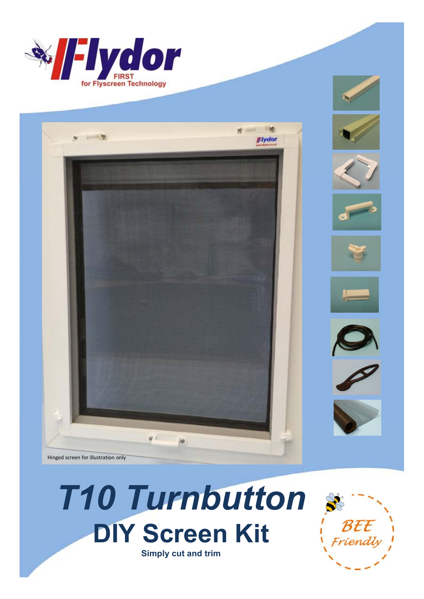



# *T10 Turnbutton* **DIY Screen Kit Simply cut and trim**

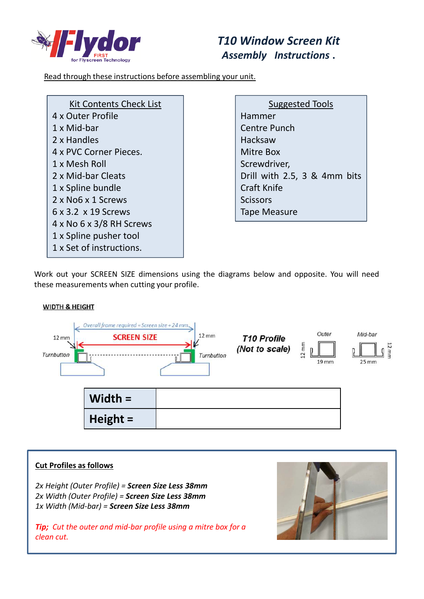

# *T10 Window Screen Kit Assembly Instructions* **.**

Read through these instructions before assembling your unit.

| Kit Contents Check List         |
|---------------------------------|
| 4 x Outer Profile               |
| 1 x Mid-bar                     |
| 2 x Handles                     |
| 4 x PVC Corner Pieces.          |
| 1 x Mesh Roll                   |
| 2 x Mid-bar Cleats              |
| 1 x Spline bundle               |
| 2 x No6 x 1 Screws              |
| $6 \times 3.2 \times 19$ Screws |
| 4 x No 6 x 3/8 RH Screws        |
| 1 x Spline pusher tool          |
| 1 x Set of instructions.        |

Suggested Tools Hammer Centre Punch Hacksaw Mitre Box Screwdriver, Drill with 2.5, 3 & 4mm bits Craft Knife **Scissors** Tape Measure

Work out your SCREEN SIZE dimensions using the diagrams below and opposite. You will need these measurements when cutting your profile.

#### **WIDTH & HEIGHT**



#### **Cut Profiles as follows**

*2x Height (Outer Profile) = Screen Size Less 38mm 2x Width (Outer Profile) = Screen Size Less 38mm 1x Width (Mid-bar) = Screen Size Less 38mm*

*Tip; Cut the outer and mid-bar profile using a mitre box for a clean cut.* 

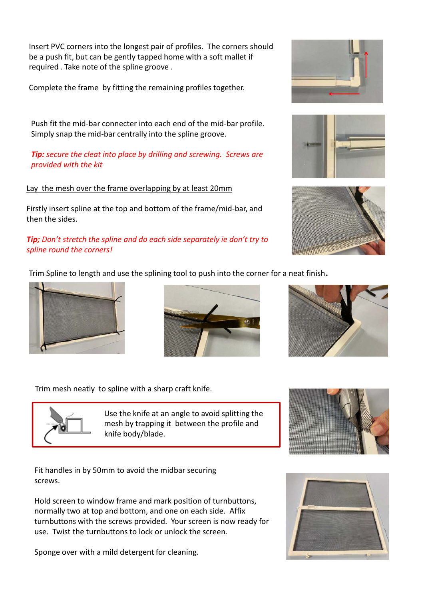Insert PVC corners into the longest pair of profiles. The corners should be a push fit, but can be gently tapped home with a soft mallet if required . Take note of the spline groove .

Complete the frame by fitting the remaining profiles together.

Push fit the mid-bar connecter into each end of the mid-bar profile. Simply snap the mid-bar centrally into the spline groove.

### *Tip: secure the cleat into place by drilling and screwing. Screws are provided with the kit*

#### Lay the mesh over the frame overlapping by at least 20mm

Firstly insert spline at the top and bottom of the frame/mid-bar, and then the sides.

## *Tip; Don't stretch the spline and do each side separately ie don't try to spline round the corners!*

Trim Spline to length and use the splining tool to push into the corner for a neat finish.





Trim mesh neatly to spline with a sharp craft knife.



Use the knife at an angle to avoid splitting the mesh by trapping it between the profile and knife body/blade.

Fit handles in by 50mm to avoid the midbar securing screws.

Hold screen to window frame and mark position of turnbuttons, normally two at top and bottom, and one on each side. Affix turnbuttons with the screws provided. Your screen is now ready for use. Twist the turnbuttons to lock or unlock the screen.

Sponge over with a mild detergent for cleaning.